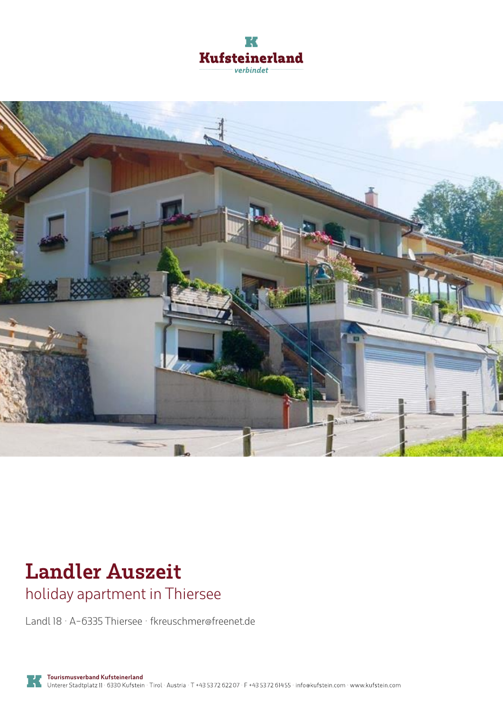



# **Landler Auszeit**

holiday apartment in Thiersee

Landl 18 · A-6335 Thiersee · **fkreuschmer@freenet.de**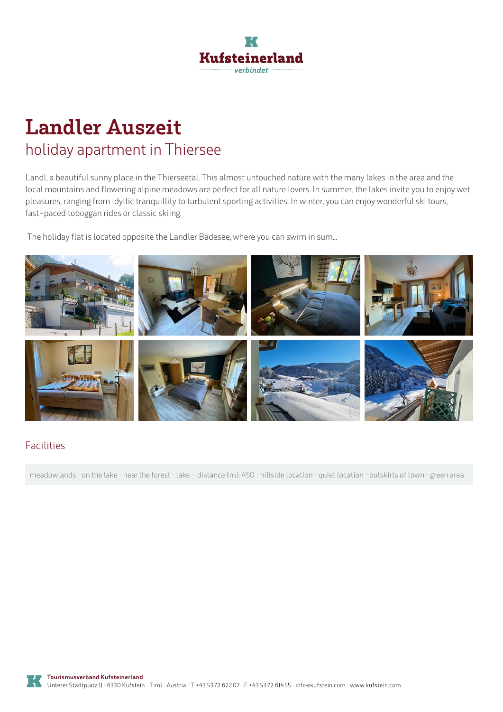

## **Landler Auszeit** holiday apartment in Thiersee

Landl, a beautiful sunny place in the Thierseetal. This almost untouched nature with the many lakes in the area and the local mountains and flowering alpine meadows are perfect for all nature lovers. In summer, the lakes invite you to enjoy wet pleasures, ranging from idyllic tranquillity to turbulent sporting activities. In winter, you can enjoy wonderful ski tours, fast-paced toboggan rides or classic skiing.

The holiday flat is located opposite the Landler Badesee, where you can swim in sum...



#### Facilities

meadowlands · on the lake · near the forest · lake - distance (m): 450 · hillside location · quiet location · outskirts of town · green area